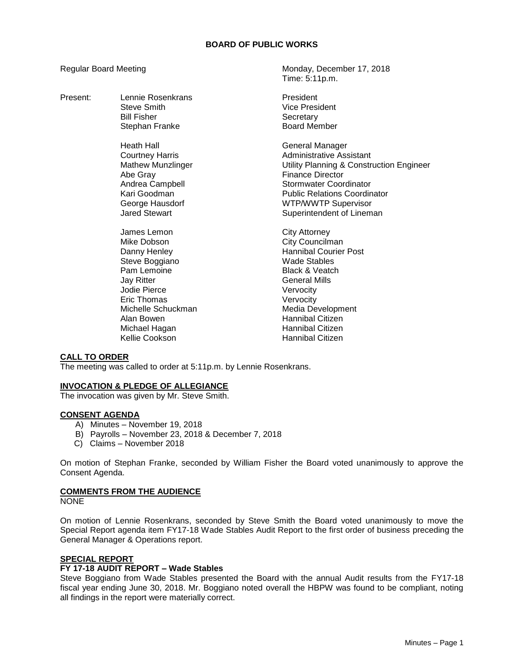#### **BOARD OF PUBLIC WORKS**

Present: Lennie Rosenkrans **President** 

Heath Hall General Manager Abe Gray Finance Director<br>Andrea Campbell **Andrea** Stormwater Coor

James Lemon **City Attorney** Mike Dobson **City Councilman** Steve Boggiano **Wade Stables** Pam Lemoine **Black & Veatch** Jay Ritter General Mills Jodie Pierce Vervocity Eric Thomas Vervocity Alan Bowen **Hannibal Citizen**<br>Michael Hagan Hannibal Citizen Michael Hagan Kellie Cookson **Hannibal Citizen** 

Regular Board Meeting Monday, December 17, 2018 Time: 5:11p.m.

> Steve Smith Vice President Bill Fisher Secretary Stephan Franke Board Member

Courtney Harris **Administrative Assistant** Mathew Munzlinger **Muncillum** Utility Planning & Construction Engineer **Stormwater Coordinator** Kari Goodman **Public Relations Coordinator** George Hausdorf **WIP/WWTP Supervisor**<br>
Jared Stewart **Mateur Supervisor**<br>
Superintendent of Linem Superintendent of Lineman

Danny Henley **Hannibal Courier Post** Michelle Schuckman Michelle Schuckman

#### **CALL TO ORDER**

The meeting was called to order at 5:11p.m. by Lennie Rosenkrans.

#### **INVOCATION & PLEDGE OF ALLEGIANCE**

The invocation was given by Mr. Steve Smith.

#### **CONSENT AGENDA**

- A) Minutes November 19, 2018
- B) Payrolls November 23, 2018 & December 7, 2018
- C) Claims November 2018

On motion of Stephan Franke, seconded by William Fisher the Board voted unanimously to approve the Consent Agenda.

# **COMMENTS FROM THE AUDIENCE**

NONE

On motion of Lennie Rosenkrans, seconded by Steve Smith the Board voted unanimously to move the Special Report agenda item FY17-18 Wade Stables Audit Report to the first order of business preceding the General Manager & Operations report.

### **SPECIAL REPORT**

### **FY 17-18 AUDIT REPORT – Wade Stables**

Steve Boggiano from Wade Stables presented the Board with the annual Audit results from the FY17-18 fiscal year ending June 30, 2018. Mr. Boggiano noted overall the HBPW was found to be compliant, noting all findings in the report were materially correct.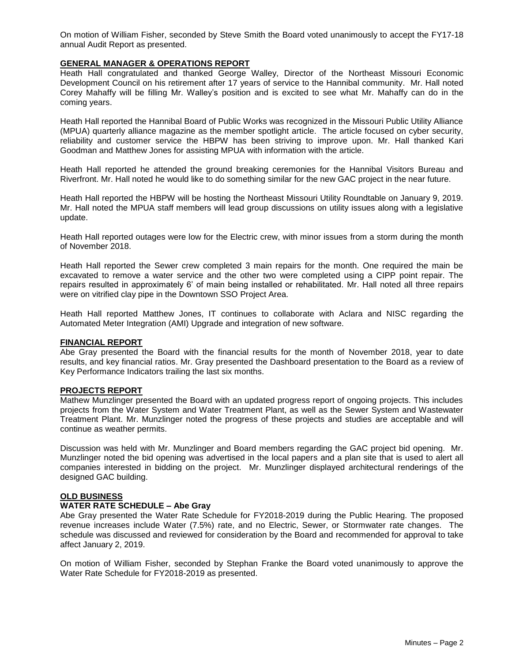On motion of William Fisher, seconded by Steve Smith the Board voted unanimously to accept the FY17-18 annual Audit Report as presented.

#### **GENERAL MANAGER & OPERATIONS REPORT**

Heath Hall congratulated and thanked George Walley, Director of the Northeast Missouri Economic Development Council on his retirement after 17 years of service to the Hannibal community. Mr. Hall noted Corey Mahaffy will be filling Mr. Walley's position and is excited to see what Mr. Mahaffy can do in the coming years.

Heath Hall reported the Hannibal Board of Public Works was recognized in the Missouri Public Utility Alliance (MPUA) quarterly alliance magazine as the member spotlight article. The article focused on cyber security, reliability and customer service the HBPW has been striving to improve upon. Mr. Hall thanked Kari Goodman and Matthew Jones for assisting MPUA with information with the article.

Heath Hall reported he attended the ground breaking ceremonies for the Hannibal Visitors Bureau and Riverfront. Mr. Hall noted he would like to do something similar for the new GAC project in the near future.

Heath Hall reported the HBPW will be hosting the Northeast Missouri Utility Roundtable on January 9, 2019. Mr. Hall noted the MPUA staff members will lead group discussions on utility issues along with a legislative update.

Heath Hall reported outages were low for the Electric crew, with minor issues from a storm during the month of November 2018.

Heath Hall reported the Sewer crew completed 3 main repairs for the month. One required the main be excavated to remove a water service and the other two were completed using a CIPP point repair. The repairs resulted in approximately 6' of main being installed or rehabilitated. Mr. Hall noted all three repairs were on vitrified clay pipe in the Downtown SSO Project Area.

Heath Hall reported Matthew Jones, IT continues to collaborate with Aclara and NISC regarding the Automated Meter Integration (AMI) Upgrade and integration of new software.

#### **FINANCIAL REPORT**

Abe Gray presented the Board with the financial results for the month of November 2018, year to date results, and key financial ratios. Mr. Gray presented the Dashboard presentation to the Board as a review of Key Performance Indicators trailing the last six months.

#### **PROJECTS REPORT**

Mathew Munzlinger presented the Board with an updated progress report of ongoing projects. This includes projects from the Water System and Water Treatment Plant, as well as the Sewer System and Wastewater Treatment Plant. Mr. Munzlinger noted the progress of these projects and studies are acceptable and will continue as weather permits.

Discussion was held with Mr. Munzlinger and Board members regarding the GAC project bid opening. Mr. Munzlinger noted the bid opening was advertised in the local papers and a plan site that is used to alert all companies interested in bidding on the project. Mr. Munzlinger displayed architectural renderings of the designed GAC building.

#### **OLD BUSINESS**

#### **WATER RATE SCHEDULE – Abe Gray**

Abe Gray presented the Water Rate Schedule for FY2018-2019 during the Public Hearing. The proposed revenue increases include Water (7.5%) rate, and no Electric, Sewer, or Stormwater rate changes. The schedule was discussed and reviewed for consideration by the Board and recommended for approval to take affect January 2, 2019.

On motion of William Fisher, seconded by Stephan Franke the Board voted unanimously to approve the Water Rate Schedule for FY2018-2019 as presented.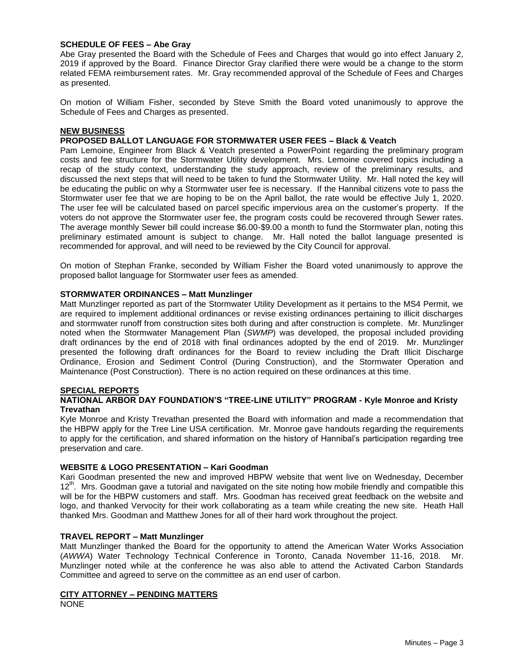#### **SCHEDULE OF FEES – Abe Gray**

Abe Gray presented the Board with the Schedule of Fees and Charges that would go into effect January 2, 2019 if approved by the Board. Finance Director Gray clarified there were would be a change to the storm related FEMA reimbursement rates. Mr. Gray recommended approval of the Schedule of Fees and Charges as presented.

On motion of William Fisher, seconded by Steve Smith the Board voted unanimously to approve the Schedule of Fees and Charges as presented.

#### **NEW BUSINESS**

#### **PROPOSED BALLOT LANGUAGE FOR STORMWATER USER FEES – Black & Veatch**

Pam Lemoine, Engineer from Black & Veatch presented a PowerPoint regarding the preliminary program costs and fee structure for the Stormwater Utility development. Mrs. Lemoine covered topics including a recap of the study context, understanding the study approach, review of the preliminary results, and discussed the next steps that will need to be taken to fund the Stormwater Utility. Mr. Hall noted the key will be educating the public on why a Stormwater user fee is necessary. If the Hannibal citizens vote to pass the Stormwater user fee that we are hoping to be on the April ballot, the rate would be effective July 1, 2020. The user fee will be calculated based on parcel specific impervious area on the customer's property. If the voters do not approve the Stormwater user fee, the program costs could be recovered through Sewer rates. The average monthly Sewer bill could increase \$6.00-\$9.00 a month to fund the Stormwater plan, noting this preliminary estimated amount is subject to change. Mr. Hall noted the ballot language presented is recommended for approval, and will need to be reviewed by the City Council for approval.

On motion of Stephan Franke, seconded by William Fisher the Board voted unanimously to approve the proposed ballot language for Stormwater user fees as amended.

#### **STORMWATER ORDINANCES – Matt Munzlinger**

Matt Munzlinger reported as part of the Stormwater Utility Development as it pertains to the MS4 Permit, we are required to implement additional ordinances or revise existing ordinances pertaining to illicit discharges and stormwater runoff from construction sites both during and after construction is complete. Mr. Munzlinger noted when the Stormwater Management Plan (*SWMP*) was developed, the proposal included providing draft ordinances by the end of 2018 with final ordinances adopted by the end of 2019. Mr. Munzlinger presented the following draft ordinances for the Board to review including the Draft Illicit Discharge Ordinance, Erosion and Sediment Control (During Construction), and the Stormwater Operation and Maintenance (Post Construction). There is no action required on these ordinances at this time.

#### **SPECIAL REPORTS**

#### **NATIONAL ARBOR DAY FOUNDATION'S "TREE-LINE UTILITY" PROGRAM - Kyle Monroe and Kristy Trevathan**

Kyle Monroe and Kristy Trevathan presented the Board with information and made a recommendation that the HBPW apply for the Tree Line USA certification. Mr. Monroe gave handouts regarding the requirements to apply for the certification, and shared information on the history of Hannibal's participation regarding tree preservation and care.

#### **WEBSITE & LOGO PRESENTATION – Kari Goodman**

Kari Goodman presented the new and improved HBPW website that went live on Wednesday, December 12<sup>th</sup>. Mrs. Goodman gave a tutorial and navigated on the site noting how mobile friendly and compatible this will be for the HBPW customers and staff. Mrs. Goodman has received great feedback on the website and logo, and thanked Vervocity for their work collaborating as a team while creating the new site. Heath Hall thanked Mrs. Goodman and Matthew Jones for all of their hard work throughout the project.

#### **TRAVEL REPORT – Matt Munzlinger**

Matt Munzlinger thanked the Board for the opportunity to attend the American Water Works Association (*AWWA*) Water Technology Technical Conference in Toronto, Canada November 11-16, 2018. Mr. Munzlinger noted while at the conference he was also able to attend the Activated Carbon Standards Committee and agreed to serve on the committee as an end user of carbon.

# **CITY ATTORNEY – PENDING MATTERS**

NONE